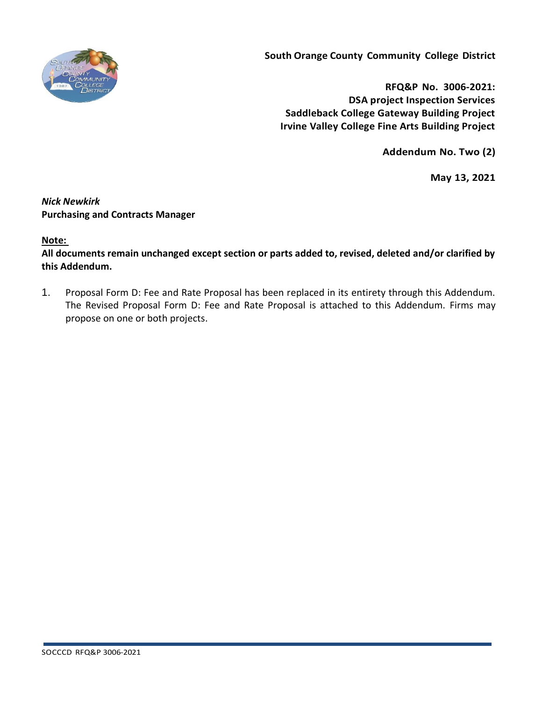

**South Orange County Community College District**

**RFQ&P No. 3006-2021: DSA project Inspection Services Saddleback College Gateway Building Project Irvine Valley College Fine Arts Building Project**

**Addendum No. Two (2)**

**May 13, 2021**

## *Nick Newkirk*  **Purchasing and Contracts Manager**

## **Note:**

**All documents remain unchanged except section or parts added to, revised, deleted and/or clarified by this Addendum.**

1. Proposal Form D: Fee and Rate Proposal has been replaced in its entirety through this Addendum. The Revised Proposal Form D: Fee and Rate Proposal is attached to this Addendum. Firms may propose on one or both projects.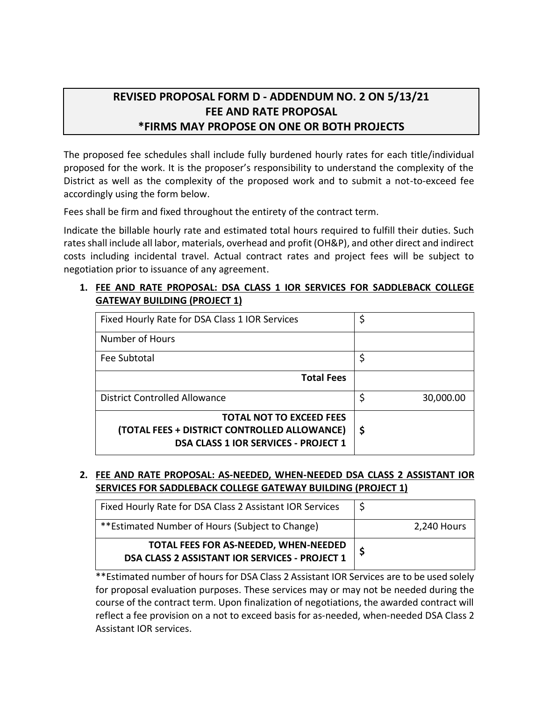# **REVISED PROPOSAL FORM D - ADDENDUM NO. 2 ON 5/13/21 FEE AND RATE PROPOSAL \*FIRMS MAY PROPOSE ON ONE OR BOTH PROJECTS**

The proposed fee schedules shall include fully burdened hourly rates for each title/individual proposed for the work. It is the proposer's responsibility to understand the complexity of the District as well as the complexity of the proposed work and to submit a not-to-exceed fee accordingly using the form below.

Fees shall be firm and fixed throughout the entirety of the contract term.

Indicate the billable hourly rate and estimated total hours required to fulfill their duties. Such rates shall include all labor, materials, overhead and profit (OH&P), and other direct and indirect costs including incidental travel. Actual contract rates and project fees will be subject to negotiation prior to issuance of any agreement.

## **1. FEE AND RATE PROPOSAL: DSA CLASS 1 IOR SERVICES FOR SADDLEBACK COLLEGE GATEWAY BUILDING (PROJECT 1)**

| Fixed Hourly Rate for DSA Class 1 IOR Services                                                                                 | \$              |
|--------------------------------------------------------------------------------------------------------------------------------|-----------------|
| Number of Hours                                                                                                                |                 |
| Fee Subtotal                                                                                                                   | \$              |
| <b>Total Fees</b>                                                                                                              |                 |
| <b>District Controlled Allowance</b>                                                                                           | \$<br>30,000.00 |
| <b>TOTAL NOT TO EXCEED FEES</b><br>(TOTAL FEES + DISTRICT CONTROLLED ALLOWANCE)<br><b>DSA CLASS 1 IOR SERVICES - PROJECT 1</b> | \$              |

#### **2. FEE AND RATE PROPOSAL: AS-NEEDED, WHEN-NEEDED DSA CLASS 2 ASSISTANT IOR SERVICES FOR SADDLEBACK COLLEGE GATEWAY BUILDING (PROJECT 1)**

| Fixed Hourly Rate for DSA Class 2 Assistant IOR Services                                |             |
|-----------------------------------------------------------------------------------------|-------------|
| <i>**</i> Estimated Number of Hours (Subject to Change)                                 | 2,240 Hours |
| TOTAL FEES FOR AS-NEEDED, WHEN-NEEDED<br>DSA CLASS 2 ASSISTANT IOR SERVICES - PROJECT 1 |             |

\*\*Estimated number of hours for DSA Class 2 Assistant IOR Services are to be used solely for proposal evaluation purposes. These services may or may not be needed during the course of the contract term. Upon finalization of negotiations, the awarded contract will reflect a fee provision on a not to exceed basis for as-needed, when-needed DSA Class 2 Assistant IOR services.